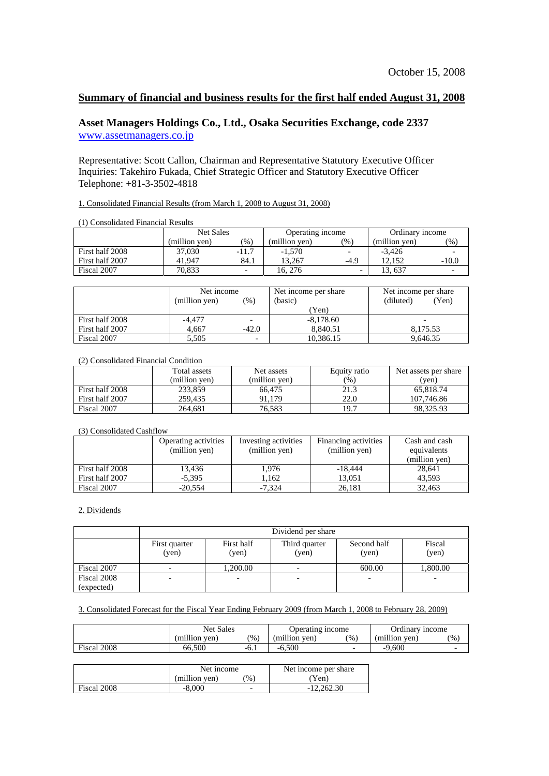# **Summary of financial and business results for the first half ended August 31, 2008**

# **Asset Managers Holdings Co., Ltd., Osaka Securities Exchange, code 2337**  [www.assetmanagers.co.jp](http://www.assetmanagers.co.jp/)

Representative: Scott Callon, Chairman and Representative Statutory Executive Officer Inquiries: Takehiro Fukada, Chief Strategic Officer and Statutory Executive Officer Telephone: +81-3-3502-4818

#### 1. Consolidated Financial Results (from March 1, 2008 to August 31, 2008)

|  | (1) Consolidated Financial Results |
|--|------------------------------------|
|--|------------------------------------|

|                 | Net Sales     |                          | Operating income |                          | Ordinary income |                 |
|-----------------|---------------|--------------------------|------------------|--------------------------|-----------------|-----------------|
|                 | (million ven) | $\frac{9}{6}$            | (million ven)    | $\frac{9}{6}$            | (million ven)   | $\mathcal{O}_0$ |
| First half 2008 | 37,030        | $-11.7$                  | $-1.570$         | $\overline{\phantom{0}}$ | $-3.426$        |                 |
| First half 2007 | 41.947        | 84.1                     | 13.267           | $-4.9$                   | 12.152          | $-10.0$         |
| Fiscal 2007     | 70.833        | $\overline{\phantom{0}}$ | 16. 276          | -                        | .3,637          |                 |

|                 | Net income<br>(million yen)<br>(%) |                          | Net income per share<br>(basic) | Net income per share<br>(diluted)<br>'Yen) |  |
|-----------------|------------------------------------|--------------------------|---------------------------------|--------------------------------------------|--|
|                 |                                    |                          | Yen)                            |                                            |  |
| First half 2008 | -4.477                             |                          | $-8,178.60$                     | -                                          |  |
| First half 2007 | 4.667                              | $-42.0$                  | 8.840.51                        | 8.175.53                                   |  |
| Fiscal 2007     | 5,505                              | $\overline{\phantom{0}}$ | 10,386.15                       | 9.646.35                                   |  |

## (2) Consolidated Financial Condition

|                 | Total assets  | Net assets    | Equity ratio | Net assets per share |
|-----------------|---------------|---------------|--------------|----------------------|
|                 | (million ven) | (million ven) | (% )         | (ven)                |
| First half 2008 | 233,859       | 66.475        | 21.3         | 65.818.74            |
| First half 2007 | 259.435       | 91.179        | 22.0         | 107.746.86           |
| Fiscal 2007     | 264.681       | 76.583        | 19.7         | 98.325.93            |

#### (3) Consolidated Cashflow

|                 | Operating activities<br>(million yen) | Investing activities<br>(million yen) | Financing activities<br>(million yen) | Cash and cash<br>equivalents |
|-----------------|---------------------------------------|---------------------------------------|---------------------------------------|------------------------------|
|                 |                                       |                                       |                                       | (million yen)                |
| First half 2008 | 13.436                                | 1,976                                 | $-18,444$                             | 28,641                       |
| First half 2007 | $-5.395$                              | 1.162                                 | 13.051                                | 43.593                       |
| Fiscal 2007     | $-20.554$                             | $-7.324$                              | 26,181                                | 32.463                       |

### 2. Dividends

|                           | Dividend per share       |                     |                          |                      |                 |  |  |  |
|---------------------------|--------------------------|---------------------|--------------------------|----------------------|-----------------|--|--|--|
|                           | First quarter<br>(ven)   | First half<br>(yen) | Third quarter<br>(yen)   | Second half<br>(yen) | Fiscal<br>(ven) |  |  |  |
| Fiscal 2007               | $\overline{\phantom{0}}$ | 1.200.00            | $\overline{\phantom{0}}$ | 600.00               | 1,800.00        |  |  |  |
| Fiscal 2008<br>(expected) | -                        | -                   |                          |                      | ۰               |  |  |  |

#### 3. Consolidated Forecast for the Fiscal Year Ending February 2009 (from March 1, 2008 to February 28, 2009)

|             | Net Sales    |               | Operating income |               | Ordinary income |      |
|-------------|--------------|---------------|------------------|---------------|-----------------|------|
|             | million ven) | $\frac{1}{2}$ | (million ven)    | $\frac{1}{2}$ | (million ven)   | (96) |
| Fiscal 2008 | 66.500       | $-0.1$        | $-6.500$         |               | 9.600           |      |

|             | Net income    |        | Net income per share |
|-------------|---------------|--------|----------------------|
|             | (million ven) | $\%$ , | Yen)                 |
| Fiscal 2008 | $-8,000$      | -      | $-12.262.30$         |